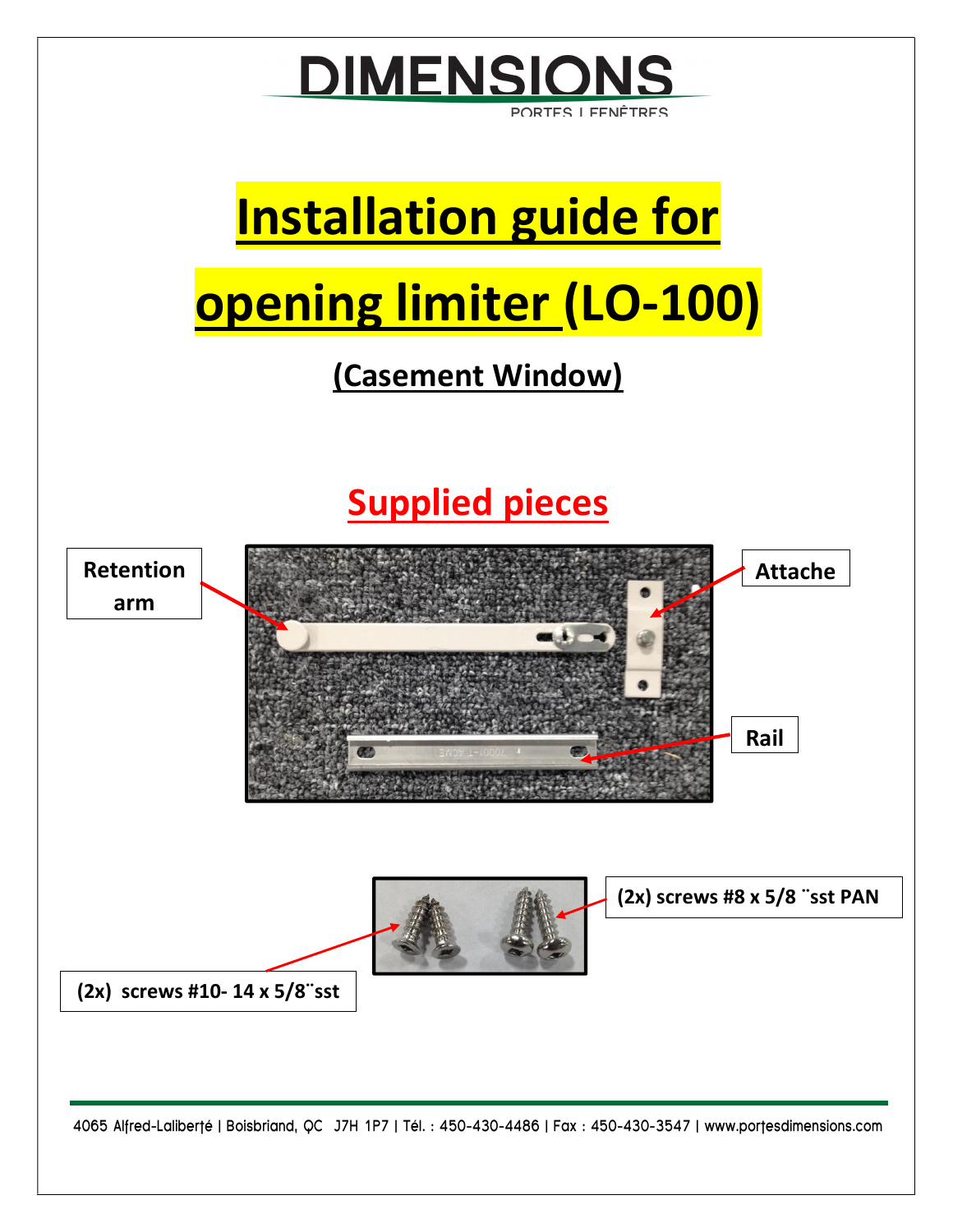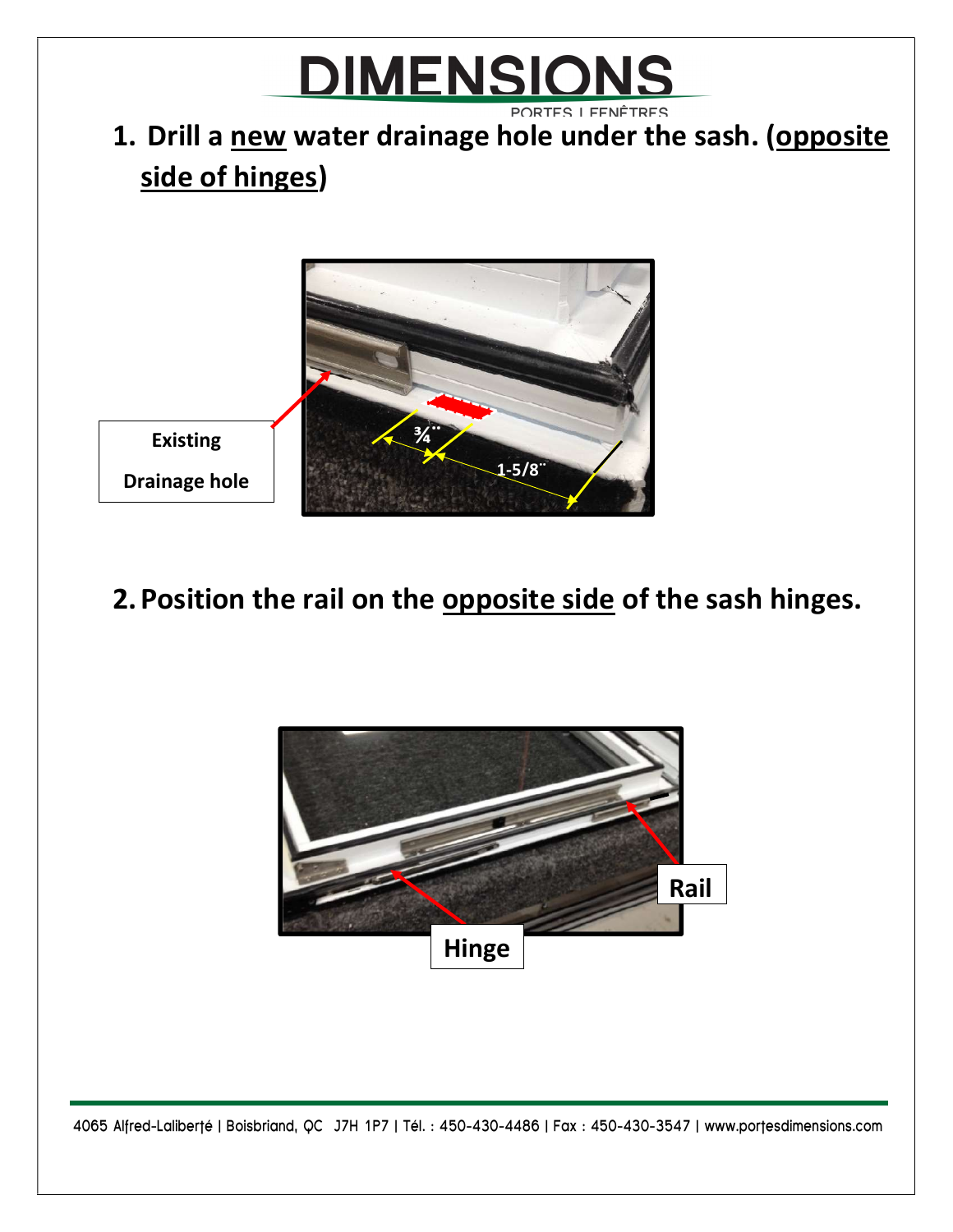## <u>DIMENSIONS</u> PORTES I FENÊTRES

## 1. Drill a new water drainage hole under the sash. (opposite side of hinges)



## 2. Position the rail on the opposite side of the sash hinges.



4065 Alfred-Laliberté | Boisbriand, QC J7H 1P7 | Tél. : 450-430-4486 | Fax : 450-430-3547 | www.portesdimensions.com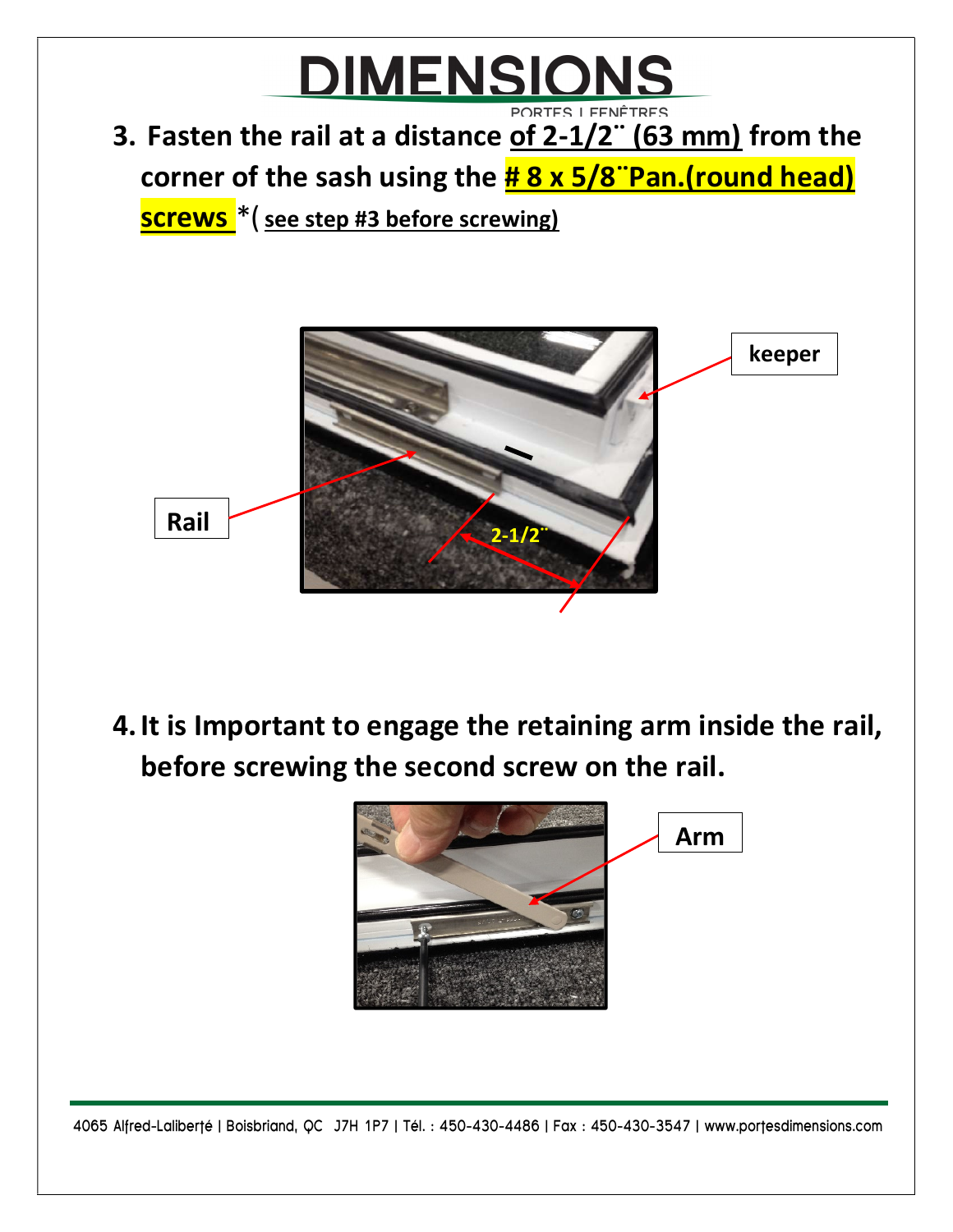

4.It is Important to engage the retaining arm inside the rail, before screwing the second screw on the rail.



4065 Alfred-Laliberté | Boisbriand, QC J7H 1P7 | Tél. : 450-430-4486 | Fax : 450-430-3547 | www.portesdimensions.com